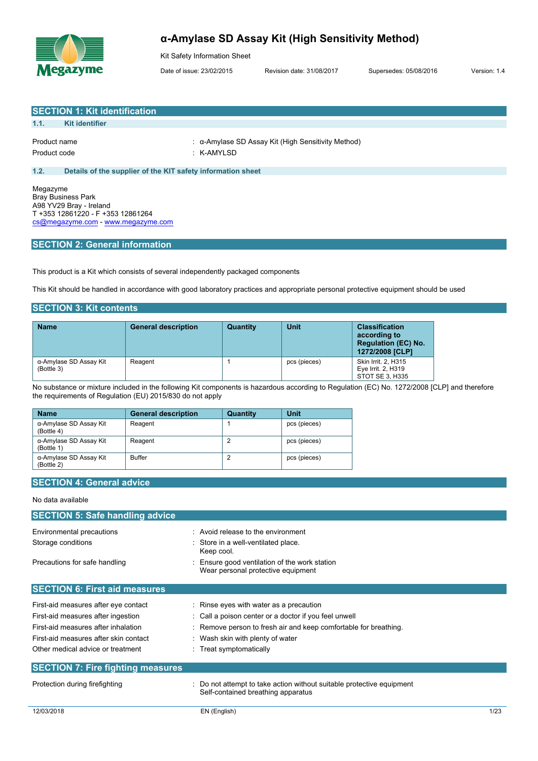

# **α-Amylase SD Assay Kit (High Sensitivity Method)**

Kit Safety Information Sheet

Date of issue: 23/02/2015 Revision date: 31/08/2017 Supersedes: 05/08/2016 Version: 1.4

|                              | <b>SECTION 1: Kit identification</b>                                                                                            |                                                                  |
|------------------------------|---------------------------------------------------------------------------------------------------------------------------------|------------------------------------------------------------------|
| 1.1.                         | <b>Kit identifier</b>                                                                                                           |                                                                  |
| Product name<br>Product code |                                                                                                                                 | : α-Amylase SD Assay Kit (High Sensitivity Method)<br>: K-AMYLSD |
| 1.2.                         | Details of the supplier of the KIT safety information sheet                                                                     |                                                                  |
| Megazyme                     | <b>Bray Business Park</b><br>A98 YV29 Bray - Ireland<br>T +353 12861220 - F +353 12861264<br>cs@megazyme.com - www.megazyme.com |                                                                  |

## **SECTION 2: General information**

This product is a Kit which consists of several independently packaged components

This Kit should be handled in accordance with good laboratory practices and appropriate personal protective equipment should be used

## **SECTION 3: Kit contents**

| <b>Name</b>                          | <b>General description</b> | Quantity | Unit         | <b>Classification</b><br>according to<br><b>Regulation (EC) No.</b><br>1272/2008 [CLP] |
|--------------------------------------|----------------------------|----------|--------------|----------------------------------------------------------------------------------------|
| α-Amylase SD Assay Kit<br>(Bottle 3) | Reagent                    |          | pcs (pieces) | <b>Skin Irrit. 2. H315</b><br>Eye Irrit. 2, H319<br>STOT SE 3, H335                    |

No substance or mixture included in the following Kit components is hazardous according to Regulation (EC) No. 1272/2008 [CLP] and therefore the requirements of Regulation (EU) 2015/830 do not apply

| <b>Name</b>                          | <b>General description</b> | Quantity | Unit         |
|--------------------------------------|----------------------------|----------|--------------|
| α-Amylase SD Assay Kit<br>(Bottle 4) | Reagent                    |          | pcs (pieces) |
| α-Amylase SD Assay Kit<br>(Bottle 1) | Reagent                    | 2        | pcs (pieces) |
| α-Amylase SD Assay Kit<br>(Bottle 2) | <b>Buffer</b>              |          | pcs (pieces) |

## **SECTION 4: General advice**

## No data available

| <b>SECTION 5: Safe handling advice</b>   |                                                                                                             |
|------------------------------------------|-------------------------------------------------------------------------------------------------------------|
| Environmental precautions                | $\therefore$ Avoid release to the environment                                                               |
| Storage conditions                       | Store in a well-ventilated place.<br>Keep cool.                                                             |
| Precautions for safe handling            | Ensure good ventilation of the work station<br>Wear personal protective equipment                           |
| <b>SECTION 6: First aid measures</b>     |                                                                                                             |
| First-aid measures after eye contact     | : Rinse eyes with water as a precaution                                                                     |
| First-aid measures after ingestion       | : Call a poison center or a doctor if you feel unwell                                                       |
| First-aid measures after inhalation      | : Remove person to fresh air and keep comfortable for breathing.                                            |
| First-aid measures after skin contact    | : Wash skin with plenty of water                                                                            |
| Other medical advice or treatment        | : Treat symptomatically                                                                                     |
| <b>SECTION 7: Fire fighting measures</b> |                                                                                                             |
| Protection during firefighting           | : Do not attempt to take action without suitable protective equipment<br>Self-contained breathing apparatus |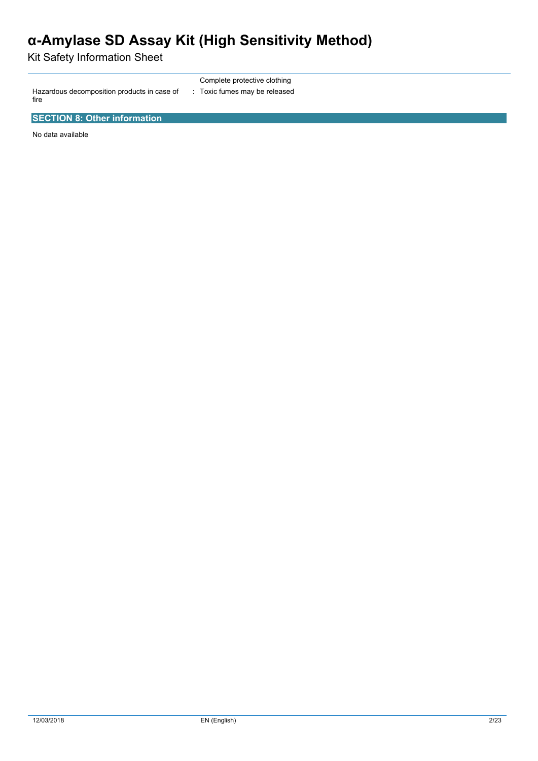# **α-Amylase SD Assay Kit (High Sensitivity Method)**

Kit Safety Information Sheet

Hazardous decomposition products in case of fire

Complete protective clothing : Toxic fumes may be released

**SECTION 8: Other information**

No data available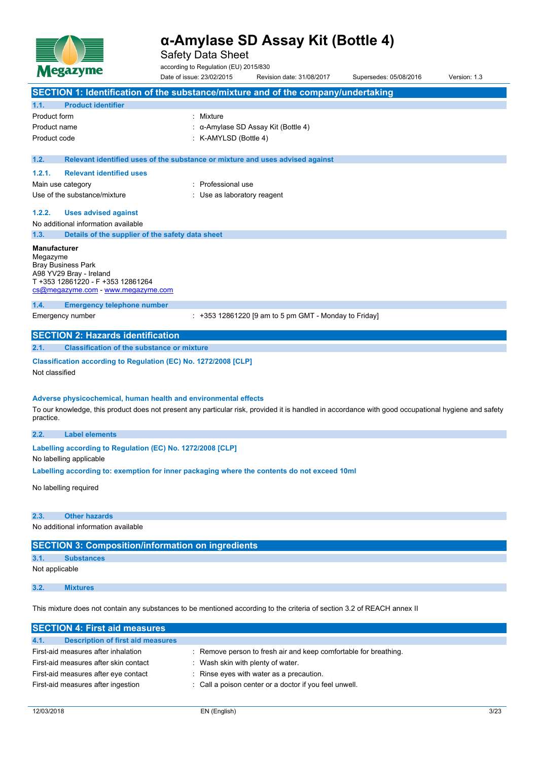

Safety Data Sheet

according to Regulation (EU) 2015/830

Date of issue: 23/02/2015 Revision date: 31/08/2017 Supersedes: 05/08/2016 Version: 1.3 **SECTION 1: Identification of the substance/mixture and of the company/undertaking 1.1. Product identifier** Product form : Nixture Product name : α-Amylase SD Assay Kit (Bottle 4) Product code : K-AMYLSD (Bottle 4) **1.2. Relevant identified uses of the substance or mixture and uses advised against 1.2.1. Relevant identified uses** Main use category **in the set of the COV** and Main use the Main use Use of the substance/mixture in the substance/mixture in the substance of the substance of the substance of the substance of the substance of the substance of the substance of the substance of the substance of the substanc **1.2.2. Uses advised against** No additional information available **1.3. Details of the supplier of the safety data sheet Manufacturer** Megazyme Bray Business Park A98 YV29 Bray - Ireland T +353 12861220 - F +353 12861264 [cs@megazyme.com](mailto:cs@megazyme.com) - <www.megazyme.com> **1.4. Emergency telephone number** Emergency number : +353 12861220 [9 am to 5 pm GMT - Monday to Friday] **SECTION 2: Hazards identification 2.1. Classification of the substance or mixture Classification according to Regulation (EC) No. 1272/2008 [CLP]** Not classified **Adverse physicochemical, human health and environmental effects** To our knowledge, this product does not present any particular risk, provided it is handled in accordance with good occupational hygiene and safety practice. **2.2. Label elements Labelling according to** Regulation (EC) No. 1272/2008 [CLP] No labelling applicable **Labelling according to: exemption for inner packaging where the contents do not exceed 10ml** No labelling required **2.3. Other hazards** No additional information available **SECTION 3: Composition/information on ingredients 3.1. Substances** Not applicable **3.2. Mixtures**

This mixture does not contain any substances to be mentioned according to the criteria of section 3.2 of REACH annex II

| <b>SECTION 4: First aid measures</b>      |                                                                  |
|-------------------------------------------|------------------------------------------------------------------|
| 4.1.<br>Description of first aid measures |                                                                  |
| First-aid measures after inhalation       | : Remove person to fresh air and keep comfortable for breathing. |
| First-aid measures after skin contact     | Wash skin with plenty of water.                                  |
| First-aid measures after eye contact      | : Rinse eyes with water as a precaution.                         |
| First-aid measures after ingestion        | : Call a poison center or a doctor if you feel unwell.           |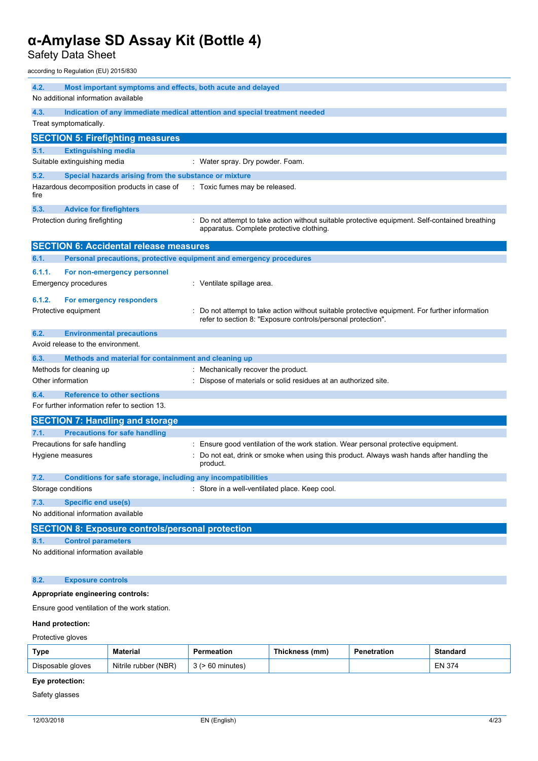Safety Data Sheet

according to Regulation (EU) 2015/830

| 4.2.   | Most important symptoms and effects, both acute and delayed<br>No additional information available |                                                                                                                                                                                          |
|--------|----------------------------------------------------------------------------------------------------|------------------------------------------------------------------------------------------------------------------------------------------------------------------------------------------|
| 4.3.   | Treat symptomatically.                                                                             | Indication of any immediate medical attention and special treatment needed                                                                                                               |
|        | <b>SECTION 5: Firefighting measures</b>                                                            |                                                                                                                                                                                          |
| 5.1.   | <b>Extinguishing media</b>                                                                         |                                                                                                                                                                                          |
|        | Suitable extinguishing media                                                                       | : Water spray. Dry powder. Foam.                                                                                                                                                         |
| 5.2.   | Special hazards arising from the substance or mixture                                              |                                                                                                                                                                                          |
| fire   | Hazardous decomposition products in case of                                                        | : Toxic fumes may be released.                                                                                                                                                           |
| 5.3.   | <b>Advice for firefighters</b>                                                                     |                                                                                                                                                                                          |
|        | Protection during firefighting                                                                     | Do not attempt to take action without suitable protective equipment. Self-contained breathing<br>apparatus. Complete protective clothing.                                                |
|        | <b>SECTION 6: Accidental release measures</b>                                                      |                                                                                                                                                                                          |
| 6.1.   | Personal precautions, protective equipment and emergency procedures                                |                                                                                                                                                                                          |
| 6.1.1. | For non-emergency personnel<br><b>Emergency procedures</b>                                         | : Ventilate spillage area.                                                                                                                                                               |
| 6.1.2. | For emergency responders<br>Protective equipment                                                   | Do not attempt to take action without suitable protective equipment. For further information<br>refer to section 8: "Exposure controls/personal protection".                             |
| 6.2.   | <b>Environmental precautions</b>                                                                   |                                                                                                                                                                                          |
|        | Avoid release to the environment.                                                                  |                                                                                                                                                                                          |
| 6.3.   | Methods and material for containment and cleaning up                                               |                                                                                                                                                                                          |
|        | Methods for cleaning up                                                                            | : Mechanically recover the product.                                                                                                                                                      |
|        | Other information                                                                                  | Dispose of materials or solid residues at an authorized site.                                                                                                                            |
| 6.4.   | <b>Reference to other sections</b><br>For further information refer to section 13.                 |                                                                                                                                                                                          |
|        |                                                                                                    |                                                                                                                                                                                          |
|        | <b>SECTION 7: Handling and storage</b>                                                             |                                                                                                                                                                                          |
| 7.1.   | <b>Precautions for safe handling</b>                                                               |                                                                                                                                                                                          |
|        | Precautions for safe handling<br>Hygiene measures                                                  | Ensure good ventilation of the work station. Wear personal protective equipment.<br>Do not eat, drink or smoke when using this product. Always wash hands after handling the<br>product. |
| 7.2.   | Conditions for safe storage, including any incompatibilities                                       |                                                                                                                                                                                          |
|        | Storage conditions                                                                                 | Store in a well-ventilated place. Keep cool.                                                                                                                                             |
| 7.3.   | <b>Specific end use(s)</b>                                                                         |                                                                                                                                                                                          |
|        | No additional information available                                                                |                                                                                                                                                                                          |
|        | <b>SECTION 8: Exposure controls/personal protection</b>                                            |                                                                                                                                                                                          |
| 8.1.   | <b>Control parameters</b>                                                                          |                                                                                                                                                                                          |
|        | No additional information available                                                                |                                                                                                                                                                                          |
| 8.2.   | <b>Exposure controls</b>                                                                           |                                                                                                                                                                                          |
|        |                                                                                                    |                                                                                                                                                                                          |

## **Appropriate engineering controls:**

Ensure good ventilation of the work station.

### **Hand protection:**

Protective gloves

| Type              | Material             | ermeation   | Thickness (mm) | Penetration | Standard      |
|-------------------|----------------------|-------------|----------------|-------------|---------------|
| Disposable gloves | Nitrile rubber (NBR) | 60 minutes) |                |             | <b>EN 374</b> |

# **Eye protection:**

Safety glasses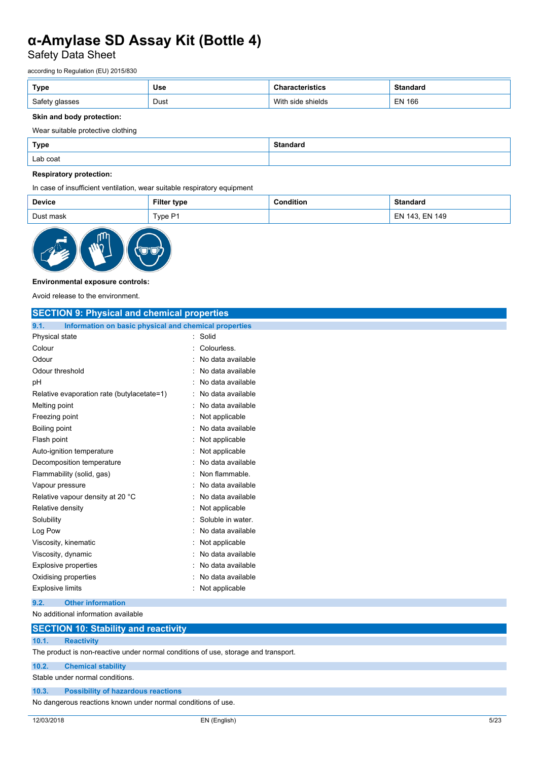Safety Data Sheet

according to Regulation (EU) 2015/830

| Type   | <b>Use</b> | uw                      | <b>Ctondord</b><br>iuai u      |
|--------|------------|-------------------------|--------------------------------|
| Safety | Dust       | Witl<br>shields<br>01 O | <b>EN 166</b><br>$\sim$ $\sim$ |

## **Skin and body protection:**

Wear suitable protective clothing

| Type     | Standaro |
|----------|----------|
| Lab coat |          |

## **Respiratory protection:**

In case of insufficient ventilation, wear suitable respiratory equipment

| <b>Device</b>      | ≣ilte<br>type<br>ו וונטו | litior<br> | uaru                  |
|--------------------|--------------------------|------------|-----------------------|
| . זפוור<br>$m$ nok | . D.<br>Type r<br>.      |            | 149<br>⊏ผ<br>IЛ.<br>ᇊ |



### **Environmental exposure controls:**

Avoid release to the environment.

| <b>SECTION 9: Physical and chemical properties</b>            |                     |
|---------------------------------------------------------------|---------------------|
| Information on basic physical and chemical properties<br>9.1. |                     |
| Physical state                                                | : Solid             |
| Colour                                                        | Colourless.         |
| Odour                                                         | No data available   |
| Odour threshold                                               | : No data available |
| рH                                                            | No data available   |
| Relative evaporation rate (butylacetate=1)                    | No data available   |
| Melting point                                                 | No data available   |
| Freezing point                                                | Not applicable      |
| Boiling point                                                 | No data available   |
| Flash point                                                   | Not applicable      |
| Auto-ignition temperature                                     | Not applicable      |
| Decomposition temperature                                     | No data available   |
| Flammability (solid, gas)                                     | Non flammable.      |
| Vapour pressure                                               | No data available   |
| Relative vapour density at 20 °C                              | No data available   |
| Relative density                                              | Not applicable      |
| Solubility                                                    | Soluble in water.   |
| Log Pow                                                       | No data available   |
| Viscosity, kinematic                                          | Not applicable      |
| Viscosity, dynamic                                            | No data available   |
| <b>Explosive properties</b>                                   | : No data available |
| Oxidising properties                                          | No data available   |
| <b>Explosive limits</b>                                       | : Not applicable    |
| 9.2.<br><b>Other information</b>                              |                     |

No additional information available

## **SECTION 10: Stability and reactivity**

#### **10.1. Reactivity**

The product is non-reactive under normal conditions of use, storage and transport.

**10.2. Chemical stability**

Stable under normal conditions.

## **10.3. Possibility of hazardous reactions**

No dangerous reactions known under normal conditions of use.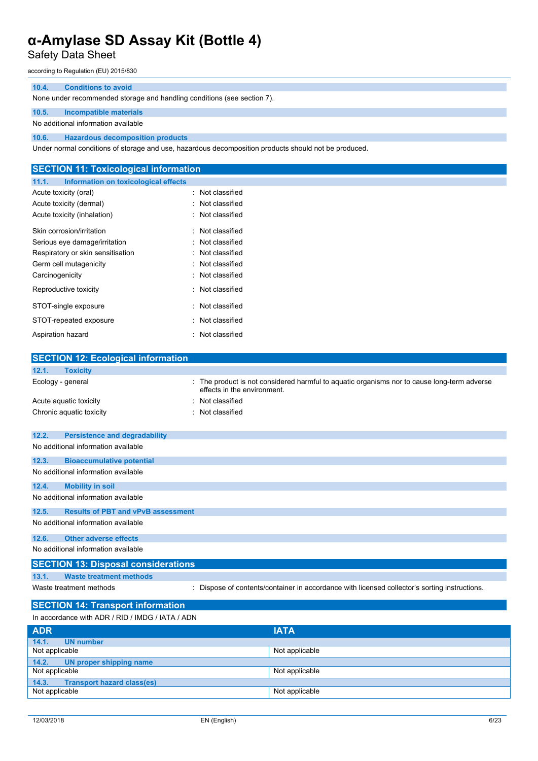Safety Data Sheet

according to Regulation (EU) 2015/830

## **10.4. Conditions to avoid**

None under recommended storage and handling conditions (see section 7).

## **10.5. Incompatible materials**

No additional information available

**10.6. Hazardous decomposition products**

Under normal conditions of storage and use, hazardous decomposition products should not be produced.

| <b>SECTION 11: Toxicological information</b>  |                  |  |
|-----------------------------------------------|------------------|--|
| Information on toxicological effects<br>11.1. |                  |  |
| Acute toxicity (oral)                         | : Not classified |  |
| Acute toxicity (dermal)                       | : Not classified |  |
| Acute toxicity (inhalation)                   | : Not classified |  |
| Skin corrosion/irritation                     | : Not classified |  |
| Serious eye damage/irritation                 | : Not classified |  |
| Respiratory or skin sensitisation             | : Not classified |  |
| Germ cell mutagenicity                        | : Not classified |  |
| Carcinogenicity                               | : Not classified |  |
| Reproductive toxicity                         | : Not classified |  |
| STOT-single exposure                          | : Not classified |  |
| STOT-repeated exposure                        | : Not classified |  |
| Aspiration hazard                             | : Not classified |  |
|                                               |                  |  |
| <b>SECTION 12: Ecological information</b>     |                  |  |
| 40.4<br><b>Taviains</b>                       |                  |  |

| 12.1.<br><b>Toxicity</b>                           |                                                                                                                          |
|----------------------------------------------------|--------------------------------------------------------------------------------------------------------------------------|
| Ecology - general                                  | The product is not considered harmful to aquatic organisms nor to cause long-term adverse<br>effects in the environment. |
| Acute aquatic toxicity                             | Not classified                                                                                                           |
| Chronic aquatic toxicity                           | : Not classified                                                                                                         |
|                                                    |                                                                                                                          |
| 12.2.<br><b>Persistence and degradability</b>      |                                                                                                                          |
| No additional information available                |                                                                                                                          |
| 12.3.<br><b>Bioaccumulative potential</b>          |                                                                                                                          |
| No additional information available                |                                                                                                                          |
| 12.4.<br><b>Mobility in soil</b>                   |                                                                                                                          |
| No additional information available                |                                                                                                                          |
| 12.5.<br><b>Results of PBT and vPvB assessment</b> |                                                                                                                          |
| No additional information available                |                                                                                                                          |
| <b>Other adverse effects</b><br>12.6.              |                                                                                                                          |
| No additional information available                |                                                                                                                          |
| <b>SECTION 13: Disposal considerations</b>         |                                                                                                                          |
| <b>Waste treatment methods</b><br>13.1.            |                                                                                                                          |
| Waste treatment methods                            | : Dispose of contents/container in accordance with licensed collector's sorting instructions.                            |
| <b>SECTION 14: Transport information</b>           |                                                                                                                          |
| In accordance with ADR / RID / IMDG / IATA / ADN   |                                                                                                                          |
|                                                    |                                                                                                                          |
| <b>ADR</b>                                         | <b>IATA</b>                                                                                                              |

| <b>ADR</b>                                 | <b>IATA</b>    |
|--------------------------------------------|----------------|
| 14.1.<br>UN number                         |                |
| Not applicable                             | Not applicable |
| 14.2.7<br>UN proper shipping name          |                |
| Not applicable                             | Not applicable |
| <b>Transport hazard class(es)</b><br>14.3. |                |
| Not applicable                             | Not applicable |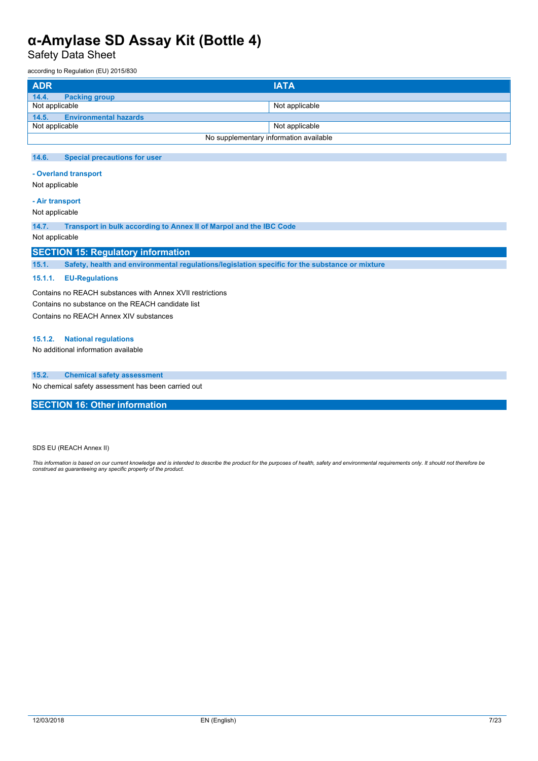Safety Data Sheet

according to Regulation (EU) 2015/830

| <b>ADR</b>                    | <b>IATA</b>                            |
|-------------------------------|----------------------------------------|
| 14.4.<br><b>Packing group</b> |                                        |
| Not applicable                | Not applicable                         |
| 14.5. Environmental hazards   |                                        |
| Not applicable                | Not applicable                         |
|                               | No supplementary information available |

### **14.6. Special precautions for user**

**- Overland transport**

Not applicable

## **- Air transport**

Not applicable

**14.7. Transport in bulk according to Annex II of Marpol and the IBC Code**

## Not applicable

## **SECTION 15: Regulatory information**

**15.1. Safety, health and environmental regulations/legislation specific for the substance or mixture**

### **15.1.1. EU-Regulations**

Contains no REACH substances with Annex XVII restrictions Contains no substance on the REACH candidate list Contains no REACH Annex XIV substances

#### **15.1.2. National regulations**

No additional information available

### **15.2. Chemical safety assessment**

No chemical safety assessment has been carried out

**SECTION 16: Other information**

SDS EU (REACH Annex II)

This information is based on our current knowledge and is intended to describe the product for the purposes of health, safety and environmental requirements only. It should not therefore be<br>construed as guaranteeing any sp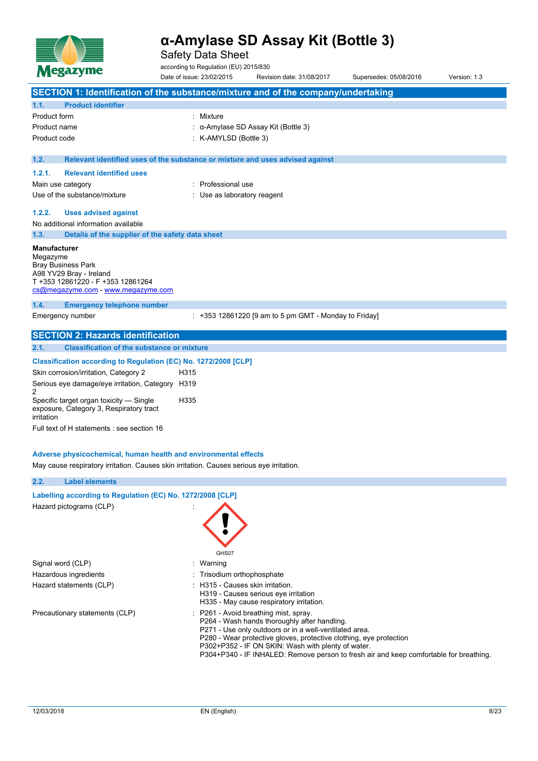

Safety Data Sheet

according to Regulation (EU) 2015/830

|                          | Megazyme                                                                                                                        | Date of issue: 23/02/2015        | Revision date: 31/08/2017                                                                                                                                                                                                                                                                                                                                             | Supersedes: 05/08/2016 | Version: 1.3 |
|--------------------------|---------------------------------------------------------------------------------------------------------------------------------|----------------------------------|-----------------------------------------------------------------------------------------------------------------------------------------------------------------------------------------------------------------------------------------------------------------------------------------------------------------------------------------------------------------------|------------------------|--------------|
|                          |                                                                                                                                 |                                  | SECTION 1: Identification of the substance/mixture and of the company/undertaking                                                                                                                                                                                                                                                                                     |                        |              |
| 1.1.                     | <b>Product identifier</b>                                                                                                       |                                  |                                                                                                                                                                                                                                                                                                                                                                       |                        |              |
| Product form             |                                                                                                                                 | : Mixture                        |                                                                                                                                                                                                                                                                                                                                                                       |                        |              |
| Product name             |                                                                                                                                 |                                  | α-Amylase SD Assay Kit (Bottle 3)                                                                                                                                                                                                                                                                                                                                     |                        |              |
| Product code             |                                                                                                                                 | K-AMYLSD (Bottle 3)              |                                                                                                                                                                                                                                                                                                                                                                       |                        |              |
| 1.2.                     |                                                                                                                                 |                                  | Relevant identified uses of the substance or mixture and uses advised against                                                                                                                                                                                                                                                                                         |                        |              |
| 1.2.1.                   | <b>Relevant identified uses</b>                                                                                                 |                                  |                                                                                                                                                                                                                                                                                                                                                                       |                        |              |
| Main use category        |                                                                                                                                 | Professional use                 |                                                                                                                                                                                                                                                                                                                                                                       |                        |              |
|                          | Use of the substance/mixture                                                                                                    | Use as laboratory reagent        |                                                                                                                                                                                                                                                                                                                                                                       |                        |              |
| 1.2.2.                   | <b>Uses advised against</b>                                                                                                     |                                  |                                                                                                                                                                                                                                                                                                                                                                       |                        |              |
|                          | No additional information available                                                                                             |                                  |                                                                                                                                                                                                                                                                                                                                                                       |                        |              |
| 1.3.                     | Details of the supplier of the safety data sheet                                                                                |                                  |                                                                                                                                                                                                                                                                                                                                                                       |                        |              |
| Manufacturer<br>Megazyme | <b>Bray Business Park</b><br>A98 YV29 Bray - Ireland<br>T +353 12861220 - F +353 12861264<br>cs@megazyme.com - www.megazyme.com |                                  |                                                                                                                                                                                                                                                                                                                                                                       |                        |              |
| 1.4.                     | <b>Emergency telephone number</b><br>Emergency number                                                                           |                                  | $: +353$ 12861220 [9 am to 5 pm GMT - Monday to Friday]                                                                                                                                                                                                                                                                                                               |                        |              |
|                          |                                                                                                                                 |                                  |                                                                                                                                                                                                                                                                                                                                                                       |                        |              |
| 2.1.                     | <b>SECTION 2: Hazards identification</b><br><b>Classification of the substance or mixture</b>                                   |                                  |                                                                                                                                                                                                                                                                                                                                                                       |                        |              |
|                          |                                                                                                                                 |                                  |                                                                                                                                                                                                                                                                                                                                                                       |                        |              |
|                          | Classification according to Regulation (EC) No. 1272/2008 [CLP]                                                                 |                                  |                                                                                                                                                                                                                                                                                                                                                                       |                        |              |
|                          | Skin corrosion/irritation, Category 2                                                                                           | H315                             |                                                                                                                                                                                                                                                                                                                                                                       |                        |              |
| 2                        | Serious eye damage/eye irritation, Category H319                                                                                |                                  |                                                                                                                                                                                                                                                                                                                                                                       |                        |              |
| irritation               | Specific target organ toxicity — Single<br>exposure, Category 3, Respiratory tract                                              | H335                             |                                                                                                                                                                                                                                                                                                                                                                       |                        |              |
|                          | Full text of H statements : see section 16                                                                                      |                                  |                                                                                                                                                                                                                                                                                                                                                                       |                        |              |
|                          | Adverse physicochemical, human health and environmental effects                                                                 |                                  |                                                                                                                                                                                                                                                                                                                                                                       |                        |              |
|                          | May cause respiratory irritation. Causes skin irritation. Causes serious eye irritation.                                        |                                  |                                                                                                                                                                                                                                                                                                                                                                       |                        |              |
| 2.2.                     | <b>Label elements</b>                                                                                                           |                                  |                                                                                                                                                                                                                                                                                                                                                                       |                        |              |
|                          | Labelling according to Regulation (EC) No. 1272/2008 [CLP]                                                                      |                                  |                                                                                                                                                                                                                                                                                                                                                                       |                        |              |
|                          | Hazard pictograms (CLP)                                                                                                         |                                  |                                                                                                                                                                                                                                                                                                                                                                       |                        |              |
|                          |                                                                                                                                 | GHS07                            |                                                                                                                                                                                                                                                                                                                                                                       |                        |              |
| Signal word (CLP)        |                                                                                                                                 | : Warning                        |                                                                                                                                                                                                                                                                                                                                                                       |                        |              |
|                          | Hazardous ingredients                                                                                                           | Trisodium orthophosphate         |                                                                                                                                                                                                                                                                                                                                                                       |                        |              |
|                          | Hazard statements (CLP)                                                                                                         | : H315 - Causes skin irritation. | H319 - Causes serious eye irritation<br>H335 - May cause respiratory irritation.                                                                                                                                                                                                                                                                                      |                        |              |
|                          | Precautionary statements (CLP)                                                                                                  |                                  | : P261 - Avoid breathing mist, spray.<br>P264 - Wash hands thoroughly after handling.<br>P271 - Use only outdoors or in a well-ventilated area.<br>P280 - Wear protective gloves, protective clothing, eye protection<br>P302+P352 - IF ON SKIN: Wash with plenty of water.<br>P304+P340 - IF INHALED: Remove person to fresh air and keep comfortable for breathing. |                        |              |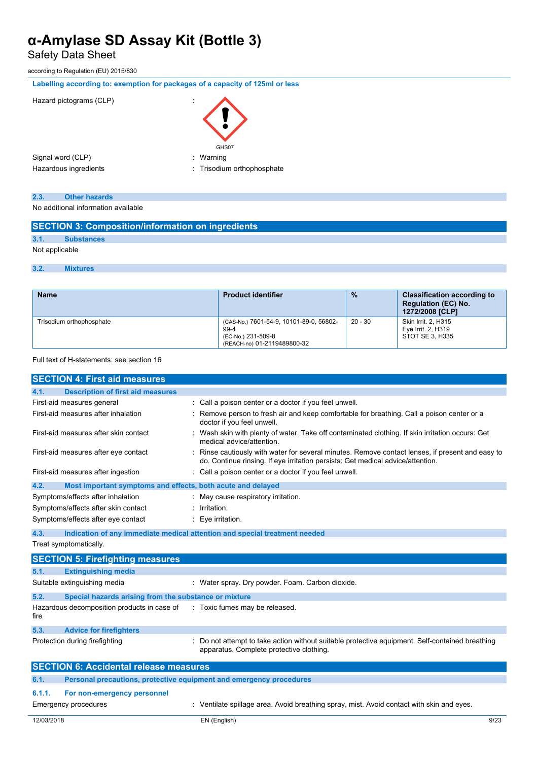Safety Data Sheet

according to Regulation (EU) 2015/830

|  |  |  | Labelling according to: exemption for packages of a capacity of 125ml or less |  |
|--|--|--|-------------------------------------------------------------------------------|--|
|--|--|--|-------------------------------------------------------------------------------|--|



| 2.3. | <b>Other hazards</b> |  |
|------|----------------------|--|
|      |                      |  |

No additional information available

|  | <b>SECTION 3: Composition/information on ingredients</b> |  |
|--|----------------------------------------------------------|--|
|--|----------------------------------------------------------|--|

# **3.1. Substances**

Not applicable

## **3.2. Mixtures**

| <b>Name</b>              | <b>Product identifier</b>                                                                            | $\frac{9}{6}$ | <b>Classification according to</b><br><b>Regulation (EC) No.</b><br>1272/2008 [CLP] |
|--------------------------|------------------------------------------------------------------------------------------------------|---------------|-------------------------------------------------------------------------------------|
| Trisodium orthophosphate | (CAS-No.) 7601-54-9, 10101-89-0, 56802-<br>99-4<br>(EC-No.) 231-509-8<br>(REACH-no) 01-2119489800-32 | $20 - 30$     | Skin Irrit. 2, H315<br>Eye Irrit. 2, H319<br>STOT SE 3. H335                        |

Full text of H-statements: see section 16

| <b>SECTION 4: First aid measures</b>                                        |                                                                                                                                                                                   |  |
|-----------------------------------------------------------------------------|-----------------------------------------------------------------------------------------------------------------------------------------------------------------------------------|--|
| 4.1.<br><b>Description of first aid measures</b>                            |                                                                                                                                                                                   |  |
| First-aid measures general                                                  | Call a poison center or a doctor if you feel unwell.                                                                                                                              |  |
| First-aid measures after inhalation                                         | Remove person to fresh air and keep comfortable for breathing. Call a poison center or a<br>doctor if you feel unwell.                                                            |  |
| First-aid measures after skin contact                                       | Wash skin with plenty of water. Take off contaminated clothing. If skin irritation occurs: Get<br>medical advice/attention.                                                       |  |
| First-aid measures after eye contact                                        | Rinse cautiously with water for several minutes. Remove contact lenses, if present and easy to<br>do. Continue rinsing. If eye irritation persists: Get medical advice/attention. |  |
| First-aid measures after ingestion                                          | : Call a poison center or a doctor if you feel unwell.                                                                                                                            |  |
| 4.2.<br>Most important symptoms and effects, both acute and delayed         |                                                                                                                                                                                   |  |
| Symptoms/effects after inhalation                                           | May cause respiratory irritation.                                                                                                                                                 |  |
| Symptoms/effects after skin contact                                         | Irritation.                                                                                                                                                                       |  |
| Symptoms/effects after eye contact                                          | : Eye irritation.                                                                                                                                                                 |  |
| 4.3.                                                                        | Indication of any immediate medical attention and special treatment needed                                                                                                        |  |
| Treat symptomatically.                                                      |                                                                                                                                                                                   |  |
| <b>SECTION 5: Firefighting measures</b>                                     |                                                                                                                                                                                   |  |
| 5.1.<br><b>Extinguishing media</b>                                          |                                                                                                                                                                                   |  |
| Suitable extinguishing media                                                | : Water spray. Dry powder. Foam. Carbon dioxide.                                                                                                                                  |  |
| 5.2.<br>Special hazards arising from the substance or mixture               |                                                                                                                                                                                   |  |
| Hazardous decomposition products in case of<br>fire                         | : Toxic fumes may be released.                                                                                                                                                    |  |
| 5.3.<br><b>Advice for firefighters</b>                                      |                                                                                                                                                                                   |  |
| Protection during firefighting                                              | Do not attempt to take action without suitable protective equipment. Self-contained breathing<br>apparatus. Complete protective clothing.                                         |  |
| <b>SECTION 6: Accidental release measures</b>                               |                                                                                                                                                                                   |  |
| 6.1.<br>Personal precautions, protective equipment and emergency procedures |                                                                                                                                                                                   |  |
| 6.1.1.<br>For non-emergency personnel                                       |                                                                                                                                                                                   |  |
| <b>Emergency procedures</b>                                                 | Ventilate spillage area. Avoid breathing spray, mist. Avoid contact with skin and eyes.                                                                                           |  |
| 12/03/2018                                                                  | 9/23<br>EN (English)                                                                                                                                                              |  |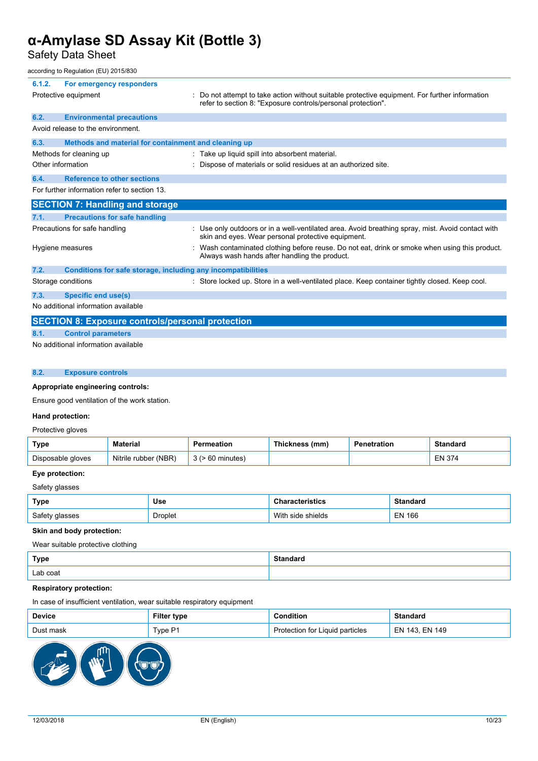Safety Data Sheet

### according to Regulation (EU) 2015/830

| 6.1.2.            | For emergency responders                                            |                                                                                                                                                              |
|-------------------|---------------------------------------------------------------------|--------------------------------------------------------------------------------------------------------------------------------------------------------------|
|                   | Protective equipment                                                | Do not attempt to take action without suitable protective equipment. For further information<br>refer to section 8: "Exposure controls/personal protection". |
| 6.2.              | <b>Environmental precautions</b>                                    |                                                                                                                                                              |
|                   | Avoid release to the environment.                                   |                                                                                                                                                              |
| 6.3.              | Methods and material for containment and cleaning up                |                                                                                                                                                              |
|                   | Methods for cleaning up                                             | : Take up liquid spill into absorbent material.                                                                                                              |
| Other information |                                                                     | Dispose of materials or solid residues at an authorized site.                                                                                                |
| 6.4.              | <b>Reference to other sections</b>                                  |                                                                                                                                                              |
|                   | For further information refer to section 13.                        |                                                                                                                                                              |
|                   | <b>SECTION 7: Handling and storage</b>                              |                                                                                                                                                              |
| 7.1.              | <b>Precautions for safe handling</b>                                |                                                                                                                                                              |
|                   | Precautions for safe handling                                       | : Use only outdoors or in a well-ventilated area. Avoid breathing spray, mist. Avoid contact with<br>skin and eyes. Wear personal protective equipment.      |
|                   | Hygiene measures                                                    | Wash contaminated clothing before reuse. Do not eat, drink or smoke when using this product.<br>Always wash hands after handling the product.                |
| 7.2.              | <b>Conditions for safe storage, including any incompatibilities</b> |                                                                                                                                                              |
|                   | Storage conditions                                                  | : Store locked up. Store in a well-ventilated place. Keep container tightly closed. Keep cool.                                                               |
| 7.3.              | <b>Specific end use(s)</b>                                          |                                                                                                                                                              |
|                   | No additional information available                                 |                                                                                                                                                              |
|                   | <b>SECTION 8: Exposure controls/personal protection</b>             |                                                                                                                                                              |
| 8.1.              | <b>Control parameters</b>                                           |                                                                                                                                                              |
|                   | No additional information available                                 |                                                                                                                                                              |

### **8.2. Exposure controls**

## **Appropriate engineering controls:**

Ensure good ventilation of the work station.

### **Hand protection:**

## Protective gloves

| Type              | <b>Material</b>      |             | Thickness (mm) | Penetration | Standard      |
|-------------------|----------------------|-------------|----------------|-------------|---------------|
| Disposable gloves | Nitrile rubber (NBR) | 60 minutes) |                |             | <b>EN 374</b> |

# **Eye protection:**

Safety glasses

| Type           | Use            | Characteristics   | Standard |
|----------------|----------------|-------------------|----------|
| Safety glasses | <b>Droplet</b> | With side shields | EN 166   |

## **Skin and body protection:**

Wear suitable protective clothing

| <b>Type</b> | Standaro |
|-------------|----------|
| Lab coat    |          |

## **Respiratory protection:**

In case of insufficient ventilation, wear suitable respiratory equipment

| <b>Device</b> | Filter type | :ondition                       | Standaro       |
|---------------|-------------|---------------------------------|----------------|
| Dust mask     | Tvpe P1     | Protection for Liquid particles | EN 143. EN 149 |

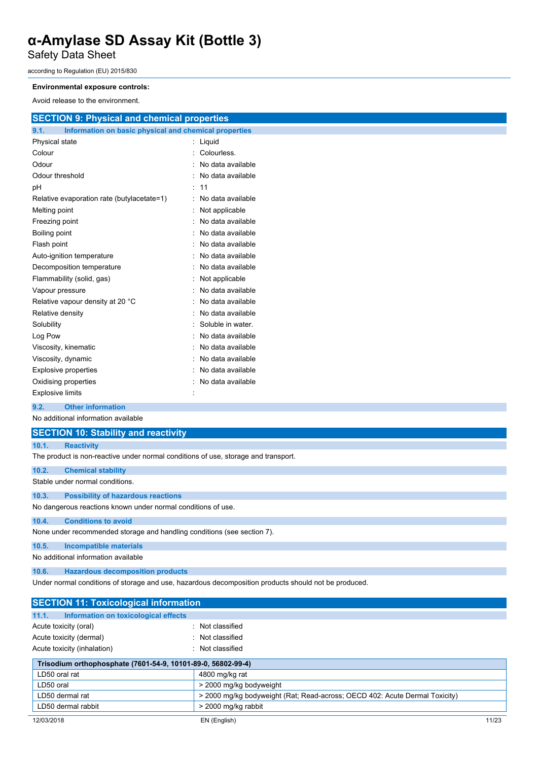Safety Data Sheet

according to Regulation (EU) 2015/830

## **Environmental exposure controls:**

Avoid release to the environment.

| <b>SECTION 9: Physical and chemical properties</b>            |  |  |
|---------------------------------------------------------------|--|--|
| 9.1.<br>Information on basic physical and chemical properties |  |  |
| Liquid                                                        |  |  |
| Colourless.                                                   |  |  |
| No data available                                             |  |  |
| No data available                                             |  |  |
| 11                                                            |  |  |
| No data available                                             |  |  |
| Not applicable                                                |  |  |
| No data available                                             |  |  |
| No data available                                             |  |  |
| No data available                                             |  |  |
| No data available                                             |  |  |
| No data available                                             |  |  |
| Not applicable                                                |  |  |
| No data available                                             |  |  |
| No data available                                             |  |  |
| No data available                                             |  |  |
| Soluble in water.                                             |  |  |
| No data available                                             |  |  |
| No data available                                             |  |  |
| No data available                                             |  |  |
| No data available                                             |  |  |
| No data available                                             |  |  |
| Ì.                                                            |  |  |
|                                                               |  |  |

## **9.2. Other information**

No additional information available

| <b>SECTION 10: Stability and reactivity</b>                                        |                                           |  |
|------------------------------------------------------------------------------------|-------------------------------------------|--|
| 10.1.                                                                              | <b>Reactivity</b>                         |  |
| The product is non-reactive under normal conditions of use, storage and transport. |                                           |  |
| 10.2.                                                                              | <b>Chemical stability</b>                 |  |
| Stable under normal conditions.                                                    |                                           |  |
| 10.3.                                                                              | <b>Possibility of hazardous reactions</b> |  |
| No dangerous reactions known under normal conditions of use.                       |                                           |  |
| 10.4.                                                                              | <b>Conditions to avoid</b>                |  |
| None under recommended storage and handling conditions (see section 7).            |                                           |  |
| 10.5.                                                                              | Incompatible materials                    |  |
| No additional information available                                                |                                           |  |
| 10.6.                                                                              | <b>Hazardous decomposition products</b>   |  |

Under normal conditions of storage and use, hazardous decomposition products should not be produced.

| <b>SECTION 11: Toxicological information</b>                 |                                                                             |  |  |
|--------------------------------------------------------------|-----------------------------------------------------------------------------|--|--|
| 11.1.<br>Information on toxicological effects                |                                                                             |  |  |
| Acute toxicity (oral)                                        | : Not classified                                                            |  |  |
| Acute toxicity (dermal)                                      | : Not classified                                                            |  |  |
| Acute toxicity (inhalation)                                  | Not classified                                                              |  |  |
| Trisodium orthophosphate (7601-54-9, 10101-89-0, 56802-99-4) |                                                                             |  |  |
| LD50 oral rat                                                | 4800 mg/kg rat                                                              |  |  |
| LD50 oral                                                    | > 2000 mg/kg bodyweight                                                     |  |  |
| LD50 dermal rat                                              | > 2000 mg/kg bodyweight (Rat: Read-across: OECD 402: Acute Dermal Toxicity) |  |  |
| LD50 dermal rabbit                                           | > 2000 mg/kg rabbit                                                         |  |  |
|                                                              |                                                                             |  |  |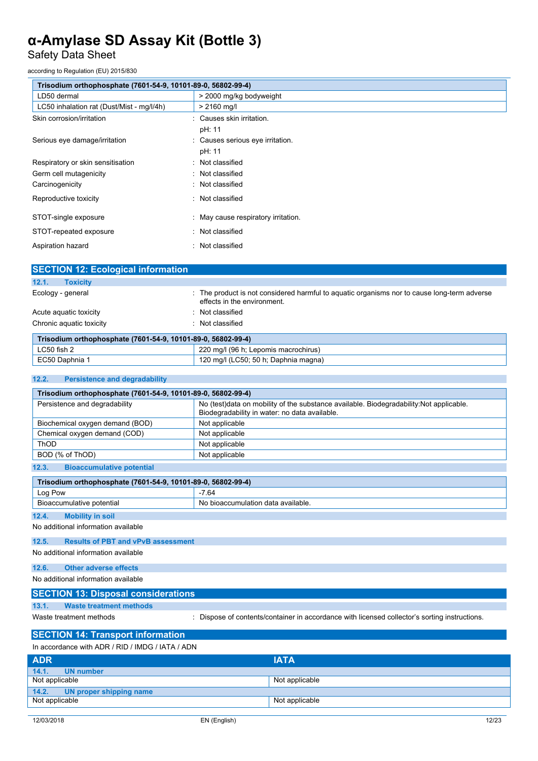Safety Data Sheet

according to Regulation (EU) 2015/830

| Trisodium orthophosphate (7601-54-9, 10101-89-0, 56802-99-4) |  |  |
|--------------------------------------------------------------|--|--|
| > 2000 mg/kg bodyweight                                      |  |  |
| $> 2160$ mg/l                                                |  |  |
| : Causes skin irritation.                                    |  |  |
| pH: 11                                                       |  |  |
| : Causes serious eye irritation.                             |  |  |
| pH: 11                                                       |  |  |
| : Not classified                                             |  |  |
| : Not classified                                             |  |  |
| : Not classified                                             |  |  |
| : Not classified                                             |  |  |
| : May cause respiratory irritation.                          |  |  |
| : Not classified                                             |  |  |
| Not classified<br>٠                                          |  |  |
|                                                              |  |  |

| <b>SECTION 12: Ecological information</b>                    |                                                                                                                          |
|--------------------------------------------------------------|--------------------------------------------------------------------------------------------------------------------------|
| 12.1.<br><b>Toxicity</b>                                     |                                                                                                                          |
| Ecology - general                                            | The product is not considered harmful to aguatic organisms nor to cause long-term adverse<br>effects in the environment. |
| Acute aguatic toxicity                                       | Not classified                                                                                                           |
| Chronic aquatic toxicity                                     | Not classified                                                                                                           |
| Trisodium orthophosphate (7601-54-9, 10101-89-0, 56802-99-4) |                                                                                                                          |
| $1$ $C$ $50$ $f$ <sub><math>c</math></sub> $h$ $2$           | 220 mall (06 h. Lonomic macrochirus)                                                                                     |

| LC50 fish 2  | 220 mg/l (96 h; Lepomis macrochirus)     |
|--------------|------------------------------------------|
| EC50 Daphnia | 0 mg/l (LC50; 50 h; Daphnia magna)<br>20 |

### **12.2. Persistence and degradability**

| Trisodium orthophosphate (7601-54-9, 10101-89-0, 56802-99-4)                                                                     |                                                                                                                                          |  |
|----------------------------------------------------------------------------------------------------------------------------------|------------------------------------------------------------------------------------------------------------------------------------------|--|
| Persistence and degradability                                                                                                    | No (test)data on mobility of the substance available. Biodegradability: Not applicable.<br>Biodegradability in water: no data available. |  |
| Biochemical oxygen demand (BOD)                                                                                                  | Not applicable                                                                                                                           |  |
| Chemical oxygen demand (COD)                                                                                                     | Not applicable                                                                                                                           |  |
| ThOD                                                                                                                             | Not applicable                                                                                                                           |  |
| BOD (% of ThOD)                                                                                                                  | Not applicable                                                                                                                           |  |
| $\sim$ $\sim$<br>the contract of the contract of the contract of the contract of the contract of the contract of the contract of |                                                                                                                                          |  |

| 12.3. | <b>Bioaccumulative potential</b> |  |
|-------|----------------------------------|--|
|       |                                  |  |

| Trisodium orthophosphate (7601-54-9, 10101-89-0, 56802-99-4) |                                    |  |
|--------------------------------------------------------------|------------------------------------|--|
| Log Pow                                                      | -7.64                              |  |
| Bioaccumulative potential                                    | No bioaccumulation data available. |  |
| 12.4.<br><b>Mobility in soil</b>                             |                                    |  |
| No additional information available                          |                                    |  |

### **12.5. Results of PBT and vPvB assessment**

No additional information available

# **12.6. Other adverse effects**

No additional information available

## **SECTION 13: Disposal considerations**

### **13.1. Waste treatment methods**

Waste treatment methods **interpretent in the Contents-Container** in accordance with licensed collector's sorting instructions.

# **SECTION 14: Transport information**

| In accordance with ADR / RID / IMDG / IATA / ADN |                |  |
|--------------------------------------------------|----------------|--|
| <b>ADR</b>                                       | <b>IATA</b>    |  |
| 14.1.<br>UN number                               |                |  |
| Not applicable                                   | Not applicable |  |
| 14.2. UN proper shipping name                    |                |  |
| Not applicable                                   | Not applicable |  |
|                                                  |                |  |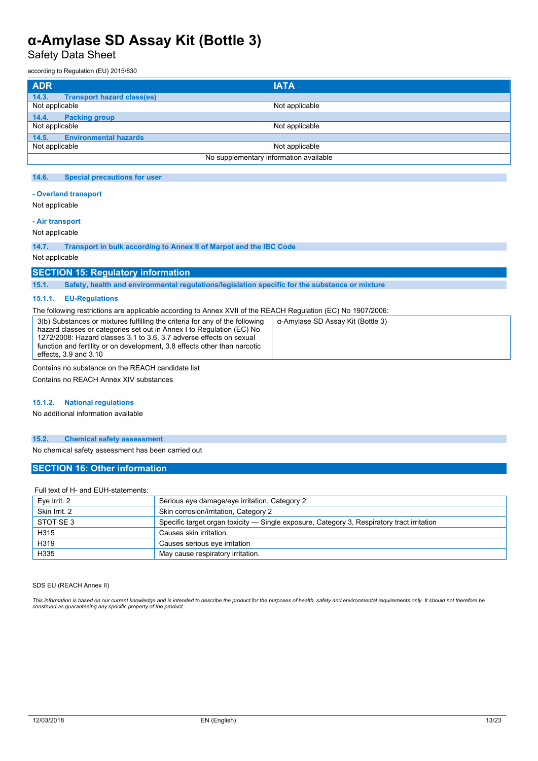Safety Data Sheet

according to Regulation (EU) 2015/830

| <b>ADR</b>                                 | <b>IATA</b>                            |
|--------------------------------------------|----------------------------------------|
| 14.3.<br><b>Transport hazard class(es)</b> |                                        |
| Not applicable                             | Not applicable                         |
| 14.4.<br><b>Packing group</b>              |                                        |
| Not applicable                             | Not applicable                         |
| <b>Environmental hazards</b><br>14.5.      |                                        |
| Not applicable                             | Not applicable                         |
|                                            | No supplementary information available |

### **14.6. Special precautions for user**

### **- Overland transport**

Not applicable

## **- Air transport**

Not applicable

**14.7. Transport in bulk according to Annex II of Marpol and the IBC Code**

Not applicable

## **SECTION 15: Regulatory information**

**15.1. Safety, health and environmental regulations/legislation specific for the substance or mixture**

#### **15.1.1. EU-Regulations**

The following restrictions are applicable according to Annex XVII of the REACH Regulation (EC) No 1907/2006:

| 3(b) Substances or mixtures fulfilling the criteria for any of the following<br>hazard classes or categories set out in Annex I to Regulation (EC) No<br>1272/2008: Hazard classes 3.1 to 3.6, 3.7 adverse effects on sexual<br>function and fertility or on development, 3.8 effects other than narcotic<br>effects, 3.9 and 3.10 | α-Amylase SD Assay Kit (Bottle 3) |
|------------------------------------------------------------------------------------------------------------------------------------------------------------------------------------------------------------------------------------------------------------------------------------------------------------------------------------|-----------------------------------|
|------------------------------------------------------------------------------------------------------------------------------------------------------------------------------------------------------------------------------------------------------------------------------------------------------------------------------------|-----------------------------------|

Contains no substance on the REACH candidate list

Contains no REACH Annex XIV substances

#### **15.1.2. National regulations**

No additional information available

## **15.2. Chemical safety assessment**

No chemical safety assessment has been carried out

## **SECTION 16: Other information**

### Full text of H- and EUH-statements:

| Eye Irrit. 2  | Serious eye damage/eye irritation, Category 2                                              |
|---------------|--------------------------------------------------------------------------------------------|
| Skin Irrit, 2 | Skin corrosion/irritation, Category 2                                                      |
| STOT SE 3     | Specific target organ toxicity — Single exposure, Category 3, Respiratory tract irritation |
| H315          | Causes skin irritation.                                                                    |
| H319          | Causes serious eye irritation                                                              |
| H335          | May cause respiratory irritation.                                                          |

SDS EU (REACH Annex II)

This information is based on our current knowledge and is intended to describe the product for the purposes of health, safety and environmental requirements only. It should not therefore be<br>construed as guaranteeing any sp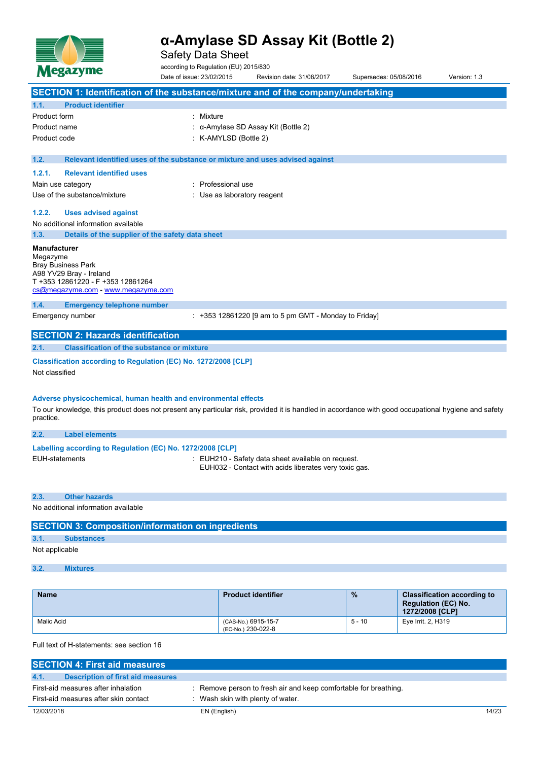

Safety Data Sheet

according to Regulation (EU) 2015/830

|                                 | <b>Megazyme</b>                                                                                                                                                                                                        | according to Regulation (EU) 2015/830<br>Date of issue: 23/02/2015            | Revision date: 31/08/2017                                                                                   | Supersedes: 05/08/2016 | Version: 1.3 |
|---------------------------------|------------------------------------------------------------------------------------------------------------------------------------------------------------------------------------------------------------------------|-------------------------------------------------------------------------------|-------------------------------------------------------------------------------------------------------------|------------------------|--------------|
|                                 | SECTION 1: Identification of the substance/mixture and of the company/undertaking                                                                                                                                      |                                                                               |                                                                                                             |                        |              |
| 1.1.                            | <b>Product identifier</b>                                                                                                                                                                                              |                                                                               |                                                                                                             |                        |              |
| <b>Product form</b>             |                                                                                                                                                                                                                        | : Mixture                                                                     |                                                                                                             |                        |              |
| Product name                    |                                                                                                                                                                                                                        |                                                                               | : α-Amylase SD Assay Kit (Bottle 2)                                                                         |                        |              |
| Product code                    |                                                                                                                                                                                                                        | : K-AMYLSD (Bottle 2)                                                         |                                                                                                             |                        |              |
| 1.2.                            |                                                                                                                                                                                                                        | Relevant identified uses of the substance or mixture and uses advised against |                                                                                                             |                        |              |
| 1.2.1.                          | <b>Relevant identified uses</b>                                                                                                                                                                                        |                                                                               |                                                                                                             |                        |              |
|                                 | Main use category                                                                                                                                                                                                      | Professional use                                                              |                                                                                                             |                        |              |
|                                 | Use of the substance/mixture                                                                                                                                                                                           | : Use as laboratory reagent                                                   |                                                                                                             |                        |              |
| 1.2.2.                          | <b>Uses advised against</b>                                                                                                                                                                                            |                                                                               |                                                                                                             |                        |              |
|                                 | No additional information available                                                                                                                                                                                    |                                                                               |                                                                                                             |                        |              |
| 1.3.                            | Details of the supplier of the safety data sheet                                                                                                                                                                       |                                                                               |                                                                                                             |                        |              |
| <b>Manufacturer</b><br>Megazyme | <b>Bray Business Park</b><br>A98 YV29 Bray - Ireland<br>T +353 12861220 - F +353 12861264<br>cs@megazyme.com - www.megazyme.com                                                                                        |                                                                               |                                                                                                             |                        |              |
| 1.4.                            | <b>Emergency telephone number</b>                                                                                                                                                                                      |                                                                               |                                                                                                             |                        |              |
|                                 | Emergency number                                                                                                                                                                                                       |                                                                               | $: +353$ 12861220 [9 am to 5 pm GMT - Monday to Friday]                                                     |                        |              |
|                                 | <b>SECTION 2: Hazards identification</b>                                                                                                                                                                               |                                                                               |                                                                                                             |                        |              |
| 2.1.                            | <b>Classification of the substance or mixture</b>                                                                                                                                                                      |                                                                               |                                                                                                             |                        |              |
| Not classified                  | Classification according to Regulation (EC) No. 1272/2008 [CLP]                                                                                                                                                        |                                                                               |                                                                                                             |                        |              |
| practice.                       | Adverse physicochemical, human health and environmental effects<br>To our knowledge, this product does not present any particular risk, provided it is handled in accordance with good occupational hygiene and safety |                                                                               |                                                                                                             |                        |              |
| 2.2.                            | <b>Label elements</b>                                                                                                                                                                                                  |                                                                               |                                                                                                             |                        |              |
|                                 | Labelling according to Regulation (EC) No. 1272/2008 [CLP]                                                                                                                                                             |                                                                               |                                                                                                             |                        |              |
|                                 | <b>EUH-statements</b>                                                                                                                                                                                                  |                                                                               | : EUH210 - Safety data sheet available on request.<br>EUH032 - Contact with acids liberates very toxic gas. |                        |              |
| 2.3.                            | <b>Other hazards</b>                                                                                                                                                                                                   |                                                                               |                                                                                                             |                        |              |
|                                 | No additional information available                                                                                                                                                                                    |                                                                               |                                                                                                             |                        |              |
|                                 |                                                                                                                                                                                                                        |                                                                               |                                                                                                             |                        |              |

# **SECTION 3: Composition/information on ingredients**

# **3.1. Substances**

Not applicable

**3.2. Mixtures**

| <b>Name</b> | <b>Product identifier</b>                 | $\frac{9}{6}$ | <b>Classification according to</b><br><b>Regulation (EC) No.</b><br>1272/2008 [CLP] |
|-------------|-------------------------------------------|---------------|-------------------------------------------------------------------------------------|
| Malic Acid  | (CAS-No.) 6915-15-7<br>(EC-No.) 230-022-8 | $5 - 10$      | Eye Irrit. 2, H319                                                                  |

Full text of H-statements: see section 16

| <b>SECTION 4: First aid measures</b>      |                                                                  |       |
|-------------------------------------------|------------------------------------------------------------------|-------|
| Description of first aid measures<br>4.1. |                                                                  |       |
| First-aid measures after inhalation       | : Remove person to fresh air and keep comfortable for breathing. |       |
| First-aid measures after skin contact     | Wash skin with plenty of water.                                  |       |
| 12/03/2018                                | EN (English)                                                     | 14/23 |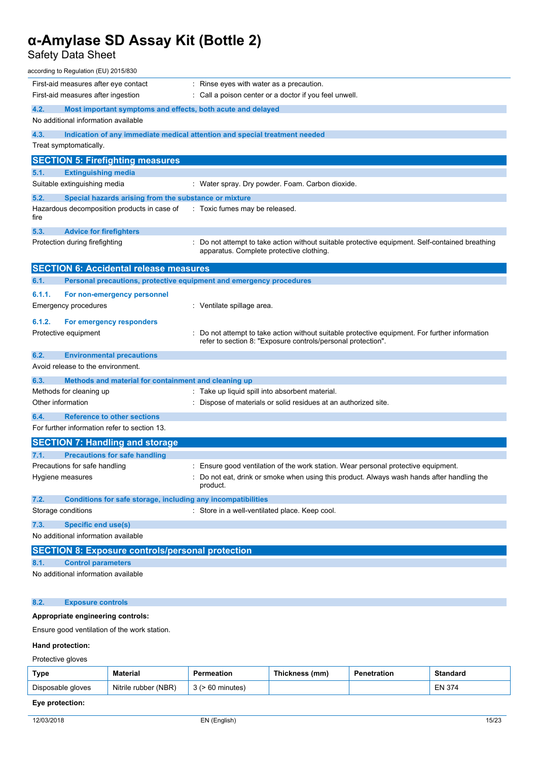Safety Data Sheet

| according to Regulation (EU) 2015/830                                       |                                                                                                                                             |
|-----------------------------------------------------------------------------|---------------------------------------------------------------------------------------------------------------------------------------------|
| First-aid measures after eye contact                                        | $\therefore$ Rinse eyes with water as a precaution.                                                                                         |
| First-aid measures after ingestion                                          | : Call a poison center or a doctor if you feel unwell.                                                                                      |
| 4.2.<br>Most important symptoms and effects, both acute and delayed         |                                                                                                                                             |
| No additional information available                                         |                                                                                                                                             |
| 4.3.                                                                        | Indication of any immediate medical attention and special treatment needed                                                                  |
| Treat symptomatically.                                                      |                                                                                                                                             |
| <b>SECTION 5: Firefighting measures</b>                                     |                                                                                                                                             |
| <b>Extinguishing media</b><br>5.1.                                          |                                                                                                                                             |
| Suitable extinguishing media                                                | : Water spray. Dry powder. Foam. Carbon dioxide.                                                                                            |
| 5.2.<br>Special hazards arising from the substance or mixture               |                                                                                                                                             |
| Hazardous decomposition products in case of<br>fire                         | : Toxic fumes may be released.                                                                                                              |
| 5.3.<br><b>Advice for firefighters</b>                                      |                                                                                                                                             |
| Protection during firefighting                                              | : Do not attempt to take action without suitable protective equipment. Self-contained breathing<br>apparatus. Complete protective clothing. |
| <b>SECTION 6: Accidental release measures</b>                               |                                                                                                                                             |
| 6.1.<br>Personal precautions, protective equipment and emergency procedures |                                                                                                                                             |
| 6.1.1.<br>For non-emergency personnel                                       |                                                                                                                                             |
| Emergency procedures                                                        | : Ventilate spillage area.                                                                                                                  |
| 6.1.2.<br>For emergency responders                                          |                                                                                                                                             |
| Protective equipment                                                        | Do not attempt to take action without suitable protective equipment. For further information                                                |
|                                                                             | refer to section 8: "Exposure controls/personal protection".                                                                                |
| 6.2.<br><b>Environmental precautions</b>                                    |                                                                                                                                             |
| Avoid release to the environment.                                           |                                                                                                                                             |
| 6.3.<br>Methods and material for containment and cleaning up                |                                                                                                                                             |
| Methods for cleaning up                                                     | : Take up liquid spill into absorbent material.                                                                                             |
| Other information                                                           | Dispose of materials or solid residues at an authorized site.                                                                               |
| <b>Reference to other sections</b><br>6.4.                                  |                                                                                                                                             |
| For further information refer to section 13.                                |                                                                                                                                             |
| <b>SECTION 7: Handling and storage</b>                                      |                                                                                                                                             |
| <b>Precautions for safe handling</b><br>7.1.                                |                                                                                                                                             |
| Precautions for safe handling                                               | : Ensure good ventilation of the work station. Wear personal protective equipment.                                                          |
| Hygiene measures                                                            | Do not eat, drink or smoke when using this product. Always wash hands after handling the<br>product.                                        |
| 7.2.<br>Conditions for safe storage, including any incompatibilities        |                                                                                                                                             |
| Storage conditions                                                          | : Store in a well-ventilated place. Keep cool.                                                                                              |
| 7.3.<br><b>Specific end use(s)</b>                                          |                                                                                                                                             |
| No additional information available                                         |                                                                                                                                             |
| <b>SECTION 8: Exposure controls/personal protection</b>                     |                                                                                                                                             |
| <b>Control parameters</b><br>8.1.                                           |                                                                                                                                             |
| No additional information available                                         |                                                                                                                                             |
| <b>Exposure controls</b><br>8.2.                                            |                                                                                                                                             |
| Appropriate engineering controls:                                           |                                                                                                                                             |

Ensure good ventilation of the work station.

## **Hand protection:**

Protective gloves

| Type              | Material                  | Permeation | Thickness (mm) | Penetration | <b>Standard</b> |
|-------------------|---------------------------|------------|----------------|-------------|-----------------|
| Disposable gloves | . (NBR)<br>Nitrile rubber | minutes    |                |             | EN 374          |

# **Eye protection:**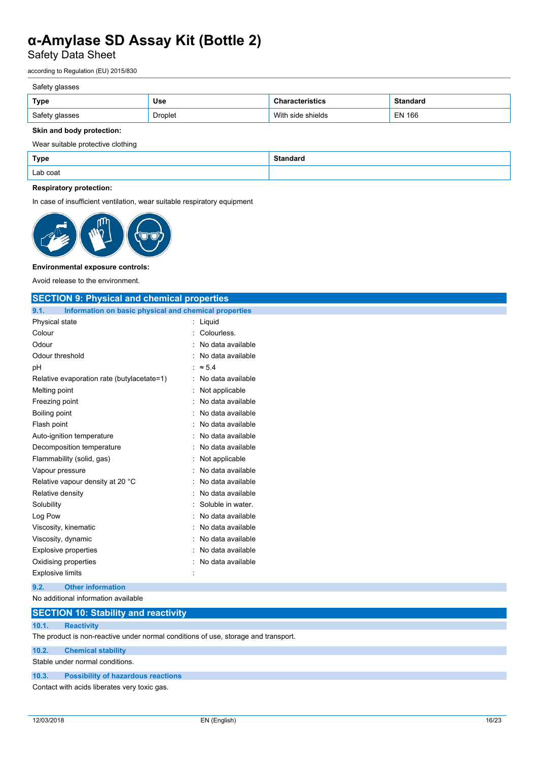Safety Data Sheet

according to Regulation (EU) 2015/830

## Safety glasses

| Type           | Use     | :teristics        | <b>Standard</b> |
|----------------|---------|-------------------|-----------------|
| Safety glasses | Droplet | With side shields | <b>EN 166</b>   |

## **Skin and body protection:**

Wear suitable protective clothing

| Type     | C <sub>tan</sub><br>Standard |
|----------|------------------------------|
| Lab coat |                              |

## **Respiratory protection:**

In case of insufficient ventilation, wear suitable respiratory equipment



### **Environmental exposure controls:**

Avoid release to the environment.

| <b>SECTION 9: Physical and chemical properties</b>            |                     |
|---------------------------------------------------------------|---------------------|
| Information on basic physical and chemical properties<br>9.1. |                     |
| Physical state                                                | : Liquid            |
| Colour                                                        | Colourless.         |
| Odour                                                         | No data available   |
| Odour threshold                                               | : No data available |
| рH                                                            | $\approx 5.4$       |
| Relative evaporation rate (butylacetate=1)                    | : No data available |
| Melting point                                                 | : Not applicable    |
| Freezing point                                                | No data available   |
| Boiling point                                                 | No data available   |
| Flash point                                                   | No data available   |
| Auto-ignition temperature                                     | No data available   |
| Decomposition temperature                                     | No data available   |
| Flammability (solid, gas)                                     | : Not applicable    |
| Vapour pressure                                               | No data available   |
| Relative vapour density at 20 °C                              | No data available   |
| Relative density                                              | No data available   |
| Solubility                                                    | Soluble in water.   |
| Log Pow                                                       | No data available   |
| Viscosity, kinematic                                          | : No data available |
| Viscosity, dynamic                                            | No data available   |
| <b>Explosive properties</b>                                   | No data available   |
| Oxidising properties                                          | No data available   |
| <b>Explosive limits</b>                                       |                     |
| <b>Other information</b><br>9.2.                              |                     |
| No additional information available                           |                     |
| <b>OF OTIONI JA, OLL UIL</b><br><b>ALC: YES</b>               |                     |

# **SECTION 10: Stability and reactivity 10.1. Reactivity** The product is non-reactive under normal conditions of use, storage and transport. **10.2. Chemical stability**

Stable under normal conditions.

**10.3. Possibility of hazardous reactions**

Contact with acids liberates very toxic gas.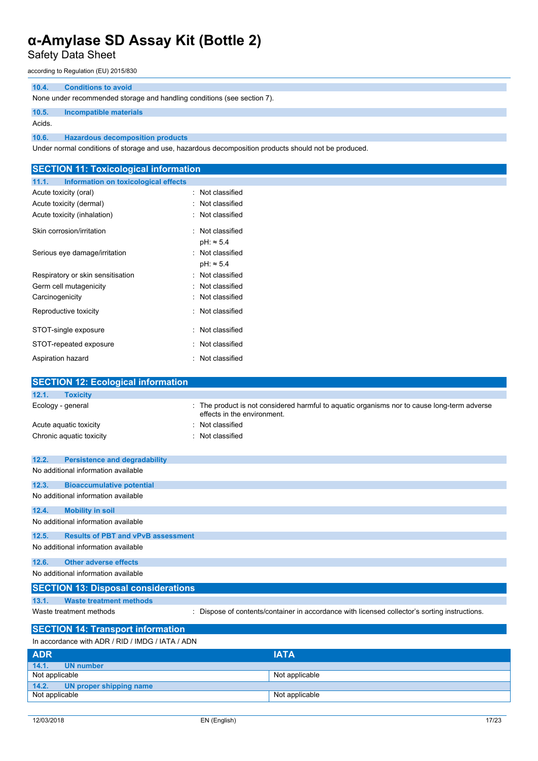Safety Data Sheet

according to Regulation (EU) 2015/830

### **10.4. Conditions to avoid**

None under recommended storage and handling conditions (see section 7).

## **10.5. Incompatible materials**

Acids.

**10.6. Hazardous decomposition products**

Under normal conditions of storage and use, hazardous decomposition products should not be produced.

| <b>SECTION 11: Toxicological information</b>       |                                                                                                                            |
|----------------------------------------------------|----------------------------------------------------------------------------------------------------------------------------|
| Information on toxicological effects<br>11.1.      |                                                                                                                            |
| Acute toxicity (oral)                              | : Not classified                                                                                                           |
| Acute toxicity (dermal)                            | : Not classified                                                                                                           |
| Acute toxicity (inhalation)                        | : Not classified                                                                                                           |
| Skin corrosion/irritation                          | : Not classified                                                                                                           |
|                                                    | $pH: \approx 5.4$                                                                                                          |
| Serious eye damage/irritation                      | : Not classified                                                                                                           |
|                                                    | $pH: \approx 5.4$                                                                                                          |
| Respiratory or skin sensitisation                  | : Not classified                                                                                                           |
| Germ cell mutagenicity                             | Not classified                                                                                                             |
| Carcinogenicity                                    | : Not classified                                                                                                           |
| Reproductive toxicity                              | : Not classified                                                                                                           |
| STOT-single exposure                               | : Not classified                                                                                                           |
| STOT-repeated exposure                             | Not classified                                                                                                             |
| Aspiration hazard                                  | : Not classified                                                                                                           |
|                                                    |                                                                                                                            |
| <b>SECTION 12: Ecological information</b>          |                                                                                                                            |
| 12.1.<br><b>Toxicity</b>                           |                                                                                                                            |
| Ecology - general                                  | : The product is not considered harmful to aquatic organisms nor to cause long-term adverse<br>effects in the environment. |
| Acute aquatic toxicity                             | Not classified                                                                                                             |
| Chronic aquatic toxicity                           | : Not classified                                                                                                           |
|                                                    |                                                                                                                            |
| 12.2.<br><b>Persistence and degradability</b>      |                                                                                                                            |
| No additional information available                |                                                                                                                            |
| 12.3.<br><b>Bioaccumulative potential</b>          |                                                                                                                            |
| No additional information available                |                                                                                                                            |
| 12.4.<br><b>Mobility in soil</b>                   |                                                                                                                            |
| No additional information available                |                                                                                                                            |
| 12.5.<br><b>Results of PBT and vPvB assessment</b> |                                                                                                                            |
| No additional information available                |                                                                                                                            |
| 12.6.<br><b>Other adverse effects</b>              |                                                                                                                            |

No additional information available

# **SECTION 13: Disposal considerations**

**13.1. Waste treatment methods**

Waste treatment methods : Dispose of contents/container in accordance with licensed collector's sorting instructions.

# **SECTION 14: Transport information**

In accordance with ADR / RID / IMDG / IATA / ADN

| <b>ADR</b>                    | <b>IATA</b>    |  |
|-------------------------------|----------------|--|
| 14.1.<br><b>UN</b> number     |                |  |
| Not applicable                | Not applicable |  |
| 14.2. UN proper shipping name |                |  |
| Not applicable                | Not applicable |  |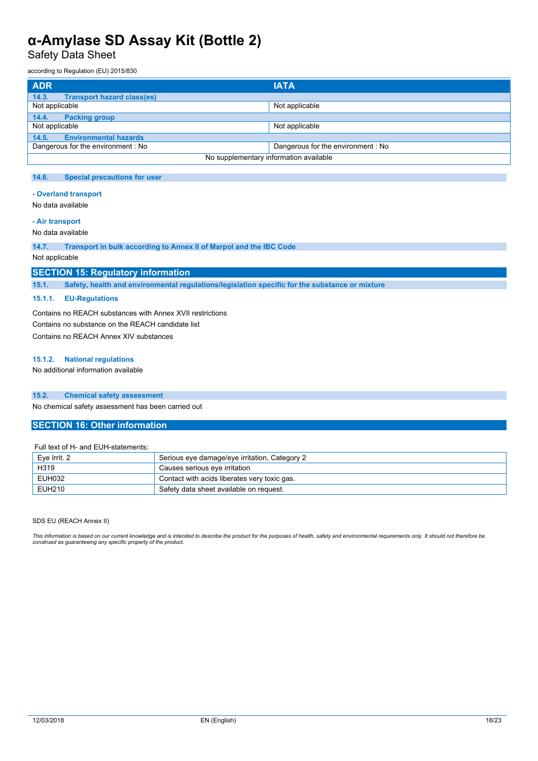Safety Data Sheet

according to Regulation (EU) 2015/830

| <b>ADR</b>                                 | <b>IATA</b>                       |  |
|--------------------------------------------|-----------------------------------|--|
| 14.3.<br><b>Transport hazard class(es)</b> |                                   |  |
| Not applicable                             | Not applicable                    |  |
| 14.4.<br><b>Packing group</b>              |                                   |  |
| Not applicable                             | Not applicable                    |  |
| <b>Environmental hazards</b><br>14.5.      |                                   |  |
| Dangerous for the environment: No          | Dangerous for the environment: No |  |
| No supplementary information available     |                                   |  |

### **14.6. Special precautions for user**

#### **- Overland transport**

No data available

## **- Air transport**

No data available

**14.7. Transport in bulk according to Annex II of Marpol and the IBC Code**

Not applicable

## **SECTION 15: Regulatory information**

**15.1. Safety, health and environmental regulations/legislation specific for the substance or mixture**

### **15.1.1. EU-Regulations**

Contains no REACH substances with Annex XVII restrictions Contains no substance on the REACH candidate list Contains no REACH Annex XIV substances

#### **15.1.2. National regulations**

No additional information available

### **15.2. Chemical safety assessment**

No chemical safety assessment has been carried out

### **SECTION 16: Other information**

#### Full text of H- and EUH-statements:

| Eve Irrit, 2 | Serious eye damage/eye irritation, Category 2 |
|--------------|-----------------------------------------------|
| H319         | Causes serious eve irritation                 |
| EUH032       | Contact with acids liberates very toxic gas.  |
| EUH210       | Safety data sheet available on request.       |

#### SDS EU (REACH Annex II)

This information is based on our current knowledge and is intended to describe the product for the purposes of health, safety and environmental requirements only. It should not therefore be<br>construed as guaranteeing any sp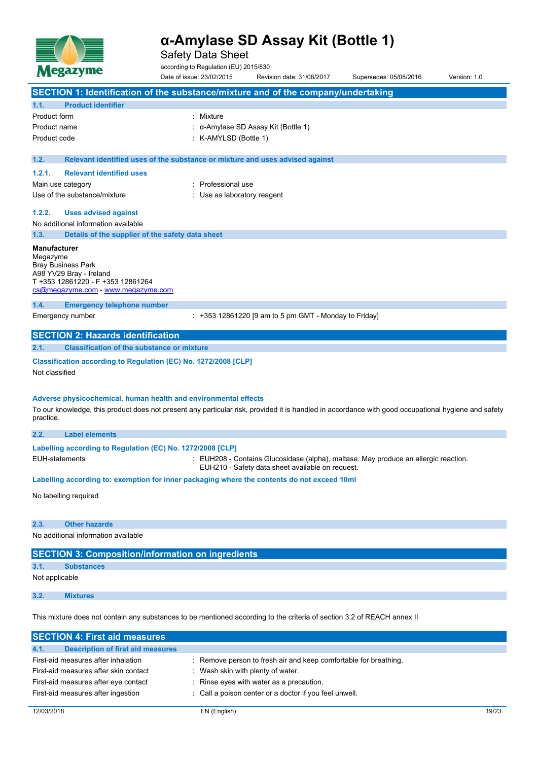

Safety Data Sheet

according to Regulation (EU) 2015/830

Date of issue: 23/02/2015 Revision date: 31/08/2017 Supersedes: 05/08/2016 Version: 1.0 **SECTION 1: Identification of the substance/mixture and of the company/undertaking 1.1. Product identifier** Product form : Nixture Product name : α-Amylase SD Assay Kit (Bottle 1) Product code : K-AMYLSD (Bottle 1) **1.2. Relevant identified uses of the substance or mixture and uses advised against 1.2.1. Relevant identified uses** Main use category **in the set of the COV** and Main use the Main use Use of the substance/mixture in the substance/mixture in the substance of the substance of the substance of the substance of the substance of the substance of the substance of the substance of the substance of the substanc **1.2.2. Uses advised against** No additional information available **1.3. Details of the supplier of the safety data sheet Manufacturer** Megazyme Bray Business Park A98 YV29 Bray - Ireland T +353 12861220 - F +353 12861264 [cs@megazyme.com](mailto:cs@megazyme.com) - <www.megazyme.com> **1.4. Emergency telephone number** Emergency number : +353 12861220 [9 am to 5 pm GMT - Monday to Friday] **SECTION 2: Hazards identification 2.1. Classification of the substance or mixture Classification according to Regulation (EC) No. 1272/2008 [CLP]** Not classified **Adverse physicochemical, human health and environmental effects** To our knowledge, this product does not present any particular risk, provided it is handled in accordance with good occupational hygiene and safety practice. **2.2. Label elements Labelling according to Regulation** (EC) No. 1272/2008 [CLP] EUH-statements : EUH208 - Contains Glucosidase (alpha), maltase. May produce an allergic reaction. EUH210 - Safety data sheet available on request. **Labelling according to: exemption for inner packaging where the contents do not exceed 10ml** No labelling required **2.3. Other hazards** No additional information available **SECTION 3: Composition/information on ingredients 3.1. Substances** Not applicable **3.2. Mixtures** This mixture does not contain any substances to be mentioned according to the criteria of section 3.2 of REACH annex II

| <b>SECTION 4: First aid measures</b>             |                                                                  |       |
|--------------------------------------------------|------------------------------------------------------------------|-------|
| 4.1.<br><b>Description of first aid measures</b> |                                                                  |       |
| First-aid measures after inhalation              | : Remove person to fresh air and keep comfortable for breathing. |       |
| First-aid measures after skin contact            | Wash skin with plenty of water.                                  |       |
| First-aid measures after eye contact             | : Rinse eyes with water as a precaution.                         |       |
| First-aid measures after ingestion               | : Call a poison center or a doctor if you feel unwell.           |       |
|                                                  |                                                                  |       |
| 12/03/2018                                       | EN (English)                                                     | 19/23 |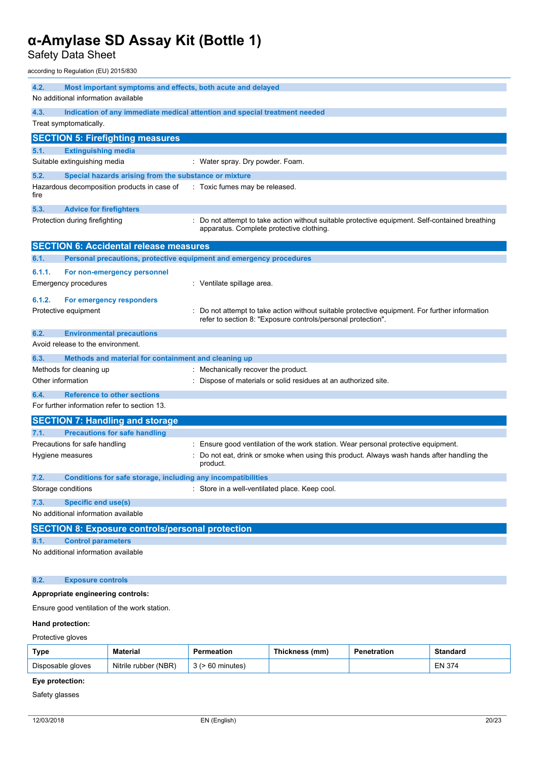Safety Data Sheet

according to Regulation (EU) 2015/830

| 4.3.<br>Indication of any immediate medical attention and special treatment needed<br>Treat symptomatically.<br><b>SECTION 5: Firefighting measures</b><br><b>Extinguishing media</b><br>5.1.<br>Suitable extinguishing media<br>: Water spray. Dry powder. Foam.<br>5.2.<br>Special hazards arising from the substance or mixture<br>Hazardous decomposition products in case of<br>: Toxic fumes may be released.<br>fire<br>5.3.<br><b>Advice for firefighters</b><br>Protection during firefighting<br>Do not attempt to take action without suitable protective equipment. Self-contained breathing<br>apparatus. Complete protective clothing.<br><b>SECTION 6: Accidental release measures</b><br>Personal precautions, protective equipment and emergency procedures<br>6.1.<br>6.1.1.<br>For non-emergency personnel<br><b>Emergency procedures</b><br>: Ventilate spillage area.<br>6.1.2.<br>For emergency responders<br>Protective equipment<br>Do not attempt to take action without suitable protective equipment. For further information<br>refer to section 8: "Exposure controls/personal protection". |
|--------------------------------------------------------------------------------------------------------------------------------------------------------------------------------------------------------------------------------------------------------------------------------------------------------------------------------------------------------------------------------------------------------------------------------------------------------------------------------------------------------------------------------------------------------------------------------------------------------------------------------------------------------------------------------------------------------------------------------------------------------------------------------------------------------------------------------------------------------------------------------------------------------------------------------------------------------------------------------------------------------------------------------------------------------------------------------------------------------------------------|
|                                                                                                                                                                                                                                                                                                                                                                                                                                                                                                                                                                                                                                                                                                                                                                                                                                                                                                                                                                                                                                                                                                                          |
|                                                                                                                                                                                                                                                                                                                                                                                                                                                                                                                                                                                                                                                                                                                                                                                                                                                                                                                                                                                                                                                                                                                          |
|                                                                                                                                                                                                                                                                                                                                                                                                                                                                                                                                                                                                                                                                                                                                                                                                                                                                                                                                                                                                                                                                                                                          |
|                                                                                                                                                                                                                                                                                                                                                                                                                                                                                                                                                                                                                                                                                                                                                                                                                                                                                                                                                                                                                                                                                                                          |
|                                                                                                                                                                                                                                                                                                                                                                                                                                                                                                                                                                                                                                                                                                                                                                                                                                                                                                                                                                                                                                                                                                                          |
|                                                                                                                                                                                                                                                                                                                                                                                                                                                                                                                                                                                                                                                                                                                                                                                                                                                                                                                                                                                                                                                                                                                          |
|                                                                                                                                                                                                                                                                                                                                                                                                                                                                                                                                                                                                                                                                                                                                                                                                                                                                                                                                                                                                                                                                                                                          |
|                                                                                                                                                                                                                                                                                                                                                                                                                                                                                                                                                                                                                                                                                                                                                                                                                                                                                                                                                                                                                                                                                                                          |
|                                                                                                                                                                                                                                                                                                                                                                                                                                                                                                                                                                                                                                                                                                                                                                                                                                                                                                                                                                                                                                                                                                                          |
|                                                                                                                                                                                                                                                                                                                                                                                                                                                                                                                                                                                                                                                                                                                                                                                                                                                                                                                                                                                                                                                                                                                          |
|                                                                                                                                                                                                                                                                                                                                                                                                                                                                                                                                                                                                                                                                                                                                                                                                                                                                                                                                                                                                                                                                                                                          |
|                                                                                                                                                                                                                                                                                                                                                                                                                                                                                                                                                                                                                                                                                                                                                                                                                                                                                                                                                                                                                                                                                                                          |
| 6.2.<br><b>Environmental precautions</b>                                                                                                                                                                                                                                                                                                                                                                                                                                                                                                                                                                                                                                                                                                                                                                                                                                                                                                                                                                                                                                                                                 |
| Avoid release to the environment.                                                                                                                                                                                                                                                                                                                                                                                                                                                                                                                                                                                                                                                                                                                                                                                                                                                                                                                                                                                                                                                                                        |
| 6.3.<br>Methods and material for containment and cleaning up                                                                                                                                                                                                                                                                                                                                                                                                                                                                                                                                                                                                                                                                                                                                                                                                                                                                                                                                                                                                                                                             |
| Methods for cleaning up<br>: Mechanically recover the product.                                                                                                                                                                                                                                                                                                                                                                                                                                                                                                                                                                                                                                                                                                                                                                                                                                                                                                                                                                                                                                                           |
| Other information<br>Dispose of materials or solid residues at an authorized site.                                                                                                                                                                                                                                                                                                                                                                                                                                                                                                                                                                                                                                                                                                                                                                                                                                                                                                                                                                                                                                       |
| <b>Reference to other sections</b><br>6.4.<br>For further information refer to section 13.                                                                                                                                                                                                                                                                                                                                                                                                                                                                                                                                                                                                                                                                                                                                                                                                                                                                                                                                                                                                                               |
| <b>SECTION 7: Handling and storage</b>                                                                                                                                                                                                                                                                                                                                                                                                                                                                                                                                                                                                                                                                                                                                                                                                                                                                                                                                                                                                                                                                                   |
| <b>Precautions for safe handling</b><br>7.1.                                                                                                                                                                                                                                                                                                                                                                                                                                                                                                                                                                                                                                                                                                                                                                                                                                                                                                                                                                                                                                                                             |
| Precautions for safe handling<br>Ensure good ventilation of the work station. Wear personal protective equipment.                                                                                                                                                                                                                                                                                                                                                                                                                                                                                                                                                                                                                                                                                                                                                                                                                                                                                                                                                                                                        |
| Do not eat, drink or smoke when using this product. Always wash hands after handling the<br>Hygiene measures<br>product.                                                                                                                                                                                                                                                                                                                                                                                                                                                                                                                                                                                                                                                                                                                                                                                                                                                                                                                                                                                                 |
| 7.2.<br>Conditions for safe storage, including any incompatibilities                                                                                                                                                                                                                                                                                                                                                                                                                                                                                                                                                                                                                                                                                                                                                                                                                                                                                                                                                                                                                                                     |
| Storage conditions<br>Store in a well-ventilated place. Keep cool.                                                                                                                                                                                                                                                                                                                                                                                                                                                                                                                                                                                                                                                                                                                                                                                                                                                                                                                                                                                                                                                       |
| 7.3.<br><b>Specific end use(s)</b>                                                                                                                                                                                                                                                                                                                                                                                                                                                                                                                                                                                                                                                                                                                                                                                                                                                                                                                                                                                                                                                                                       |
| No additional information available                                                                                                                                                                                                                                                                                                                                                                                                                                                                                                                                                                                                                                                                                                                                                                                                                                                                                                                                                                                                                                                                                      |
| <b>SECTION 8: Exposure controls/personal protection</b>                                                                                                                                                                                                                                                                                                                                                                                                                                                                                                                                                                                                                                                                                                                                                                                                                                                                                                                                                                                                                                                                  |
| <b>Control parameters</b><br>8.1.                                                                                                                                                                                                                                                                                                                                                                                                                                                                                                                                                                                                                                                                                                                                                                                                                                                                                                                                                                                                                                                                                        |
| No additional information available                                                                                                                                                                                                                                                                                                                                                                                                                                                                                                                                                                                                                                                                                                                                                                                                                                                                                                                                                                                                                                                                                      |
| 8.2.<br><b>Exposure controls</b>                                                                                                                                                                                                                                                                                                                                                                                                                                                                                                                                                                                                                                                                                                                                                                                                                                                                                                                                                                                                                                                                                         |

## **Appropriate engineering controls:**

Ensure good ventilation of the work station.

### **Hand protection:**

Protective gloves

| <b>Type</b>       | Material             | าeatior | (mm.<br><b>Inickness</b> | ration | Standard |
|-------------------|----------------------|---------|--------------------------|--------|----------|
| Disposable gloves | Nitrile rubber (NBR) | minutes |                          |        | EN 374   |

# **Eye protection:**

Safety glasses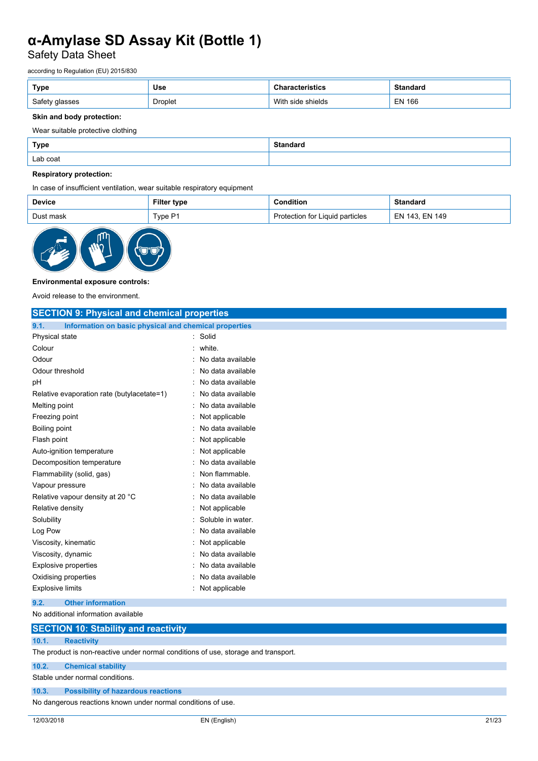Safety Data Sheet

according to Regulation (EU) 2015/830

| Type   | <b>Use</b>     | uw                      | iuai u                         |
|--------|----------------|-------------------------|--------------------------------|
| Safety | <b>Droplet</b> | Witl<br>shields<br>eid. | <b>EN 166</b><br>$\sim$ $\sim$ |

## **Skin and body protection:**

Wear suitable protective clothing

| <b>Type</b> | Standaro |
|-------------|----------|
| Lab coat    |          |

## **Respiratory protection:**

In case of insufficient ventilation, wear suitable respiratory equipment

| <b>Device</b> | Filter<br>∶type | ∖ondition                                       | standard                   |
|---------------|-----------------|-------------------------------------------------|----------------------------|
| Dust mask     | Two P1          | Liquid particles <sup>.</sup><br>otection for L | <b>EN 149</b><br>143<br>ЕN |



### **Environmental exposure controls:**

Avoid release to the environment.

| <b>SECTION 9: Physical and chemical properties</b>            |                   |  |
|---------------------------------------------------------------|-------------------|--|
| Information on basic physical and chemical properties<br>9.1. |                   |  |
| Physical state                                                | Solid<br>t.       |  |
| Colour                                                        | white.            |  |
| Odour                                                         | No data available |  |
| Odour threshold                                               | No data available |  |
| pH                                                            | No data available |  |
| Relative evaporation rate (butylacetate=1)                    | No data available |  |
| Melting point                                                 | No data available |  |
| Freezing point                                                | Not applicable    |  |
| Boiling point                                                 | No data available |  |
| Flash point                                                   | Not applicable    |  |
| Auto-ignition temperature                                     | Not applicable    |  |
| Decomposition temperature                                     | No data available |  |
| Flammability (solid, gas)                                     | Non flammable.    |  |
| Vapour pressure                                               | No data available |  |
| Relative vapour density at 20 °C                              | No data available |  |
| Relative density                                              | Not applicable    |  |
| Solubility                                                    | Soluble in water. |  |
| Log Pow                                                       | No data available |  |
| Viscosity, kinematic                                          | Not applicable    |  |
| Viscosity, dynamic                                            | No data available |  |
| Explosive properties                                          | No data available |  |
| Oxidising properties                                          | No data available |  |
| <b>Explosive limits</b>                                       | Not applicable    |  |
| 9.2.<br><b>Other information</b>                              |                   |  |

No additional information available

# **SECTION 10: Stability and reactivity**

## **10.1. Reactivity**

The product is non-reactive under normal conditions of use, storage and transport.

**10.2. Chemical stability**

Stable under normal conditions.

## **10.3. Possibility of hazardous reactions**

No dangerous reactions known under normal conditions of use.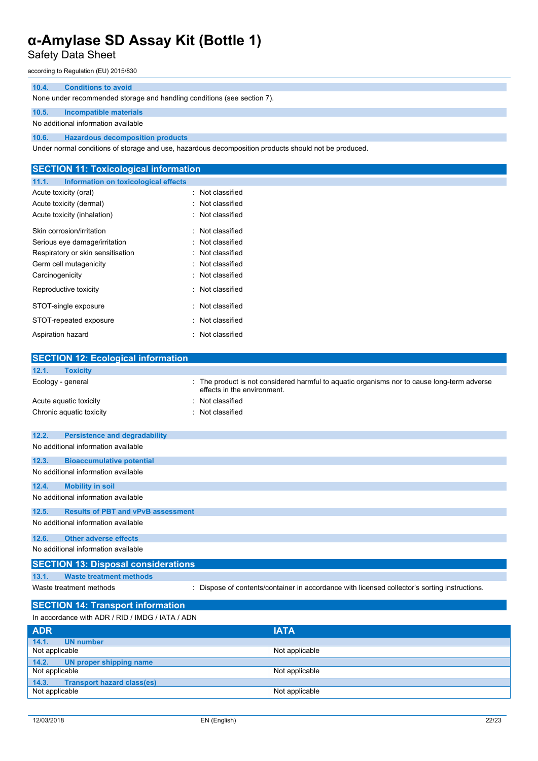Safety Data Sheet

according to Regulation (EU) 2015/830

## **10.4. Conditions to avoid**

None under recommended storage and handling conditions (see section 7).

## **10.5. Incompatible materials**

No additional information available

**10.6. Hazardous decomposition products**

Under normal conditions of storage and use, hazardous decomposition products should not be produced.

| <b>SECTION 11: Toxicological information</b>  |                  |  |
|-----------------------------------------------|------------------|--|
| Information on toxicological effects<br>11.1. |                  |  |
| Acute toxicity (oral)                         | : Not classified |  |
| Acute toxicity (dermal)                       | : Not classified |  |
| Acute toxicity (inhalation)                   | : Not classified |  |
| Skin corrosion/irritation                     | : Not classified |  |
| Serious eye damage/irritation                 | : Not classified |  |
| Respiratory or skin sensitisation             | : Not classified |  |
| Germ cell mutagenicity                        | : Not classified |  |
| Carcinogenicity                               | : Not classified |  |
| Reproductive toxicity                         | : Not classified |  |
| STOT-single exposure                          | : Not classified |  |
| STOT-repeated exposure                        | : Not classified |  |
| Aspiration hazard                             | : Not classified |  |
|                                               |                  |  |
| <b>SECTION 12: Ecological information</b>     |                  |  |
| 121<br><b>Tovicity</b>                        |                  |  |

| 12.1.             | <b>Toxicity</b>                                  |                                                                                                                          |
|-------------------|--------------------------------------------------|--------------------------------------------------------------------------------------------------------------------------|
| Ecology - general |                                                  | The product is not considered harmful to aquatic organisms nor to cause long-term adverse<br>effects in the environment. |
|                   | Acute aguatic toxicity                           | Not classified                                                                                                           |
|                   | Chronic aquatic toxicity                         | Not classified                                                                                                           |
| 12.2.             | <b>Persistence and degradability</b>             |                                                                                                                          |
|                   | No additional information available              |                                                                                                                          |
| 12.3.             | <b>Bioaccumulative potential</b>                 |                                                                                                                          |
|                   | No additional information available              |                                                                                                                          |
| 12.4.             | <b>Mobility in soil</b>                          |                                                                                                                          |
|                   | No additional information available              |                                                                                                                          |
| 12.5.             | <b>Results of PBT and vPvB assessment</b>        |                                                                                                                          |
|                   | No additional information available              |                                                                                                                          |
| 12.6.             | <b>Other adverse effects</b>                     |                                                                                                                          |
|                   | No additional information available              |                                                                                                                          |
|                   | <b>SECTION 13: Disposal considerations</b>       |                                                                                                                          |
| 13.1.             | <b>Waste treatment methods</b>                   |                                                                                                                          |
|                   | Waste treatment methods                          | Dispose of contents/container in accordance with licensed collector's sorting instructions.                              |
|                   | <b>SECTION 14: Transport information</b>         |                                                                                                                          |
|                   | In accordance with ADR / RID / IMDG / IATA / ADN |                                                                                                                          |

| <b>ADR</b>                                 | <b>IATA</b>    |
|--------------------------------------------|----------------|
| 14.1.<br><b>UN</b> number                  |                |
| Not applicable                             | Not applicable |
| 14.2. UN proper shipping name              |                |
| Not applicable                             | Not applicable |
| 14.3.<br><b>Transport hazard class(es)</b> |                |
| Not applicable                             | Not applicable |